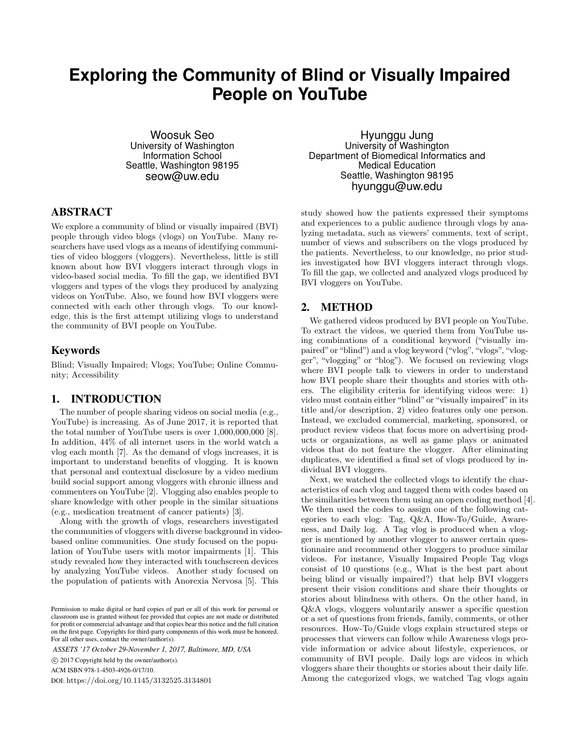# **Exploring the Community of Blind or Visually Impaired People on YouTube**

Woosuk Seo University of Washington Information School Seattle, Washington 98195 [seow@uw.edu](mailto:seow@uw.edu)

#### ABSTRACT

We explore a community of blind or visually impaired (BVI) people through video blogs (vlogs) on YouTube. Many researchers have used vlogs as a means of identifying communities of video bloggers (vloggers). Nevertheless, little is still known about how BVI vloggers interact through vlogs in video-based social media. To fill the gap, we identified BVI vloggers and types of the vlogs they produced by analyzing videos on YouTube. Also, we found how BVI vloggers were connected with each other through vlogs. To our knowledge, this is the first attempt utilizing vlogs to understand the community of BVI people on YouTube.

## Keywords

Blind; Visually Impaired; Vlogs; YouTube; Online Community; Accessibility

## 1. INTRODUCTION

The number of people sharing videos on social media (e.g., YouTube) is increasing. As of June 2017, it is reported that the total number of YouTube users is over 1,000,000,000 [8]. In addition, 44% of all internet users in the world watch a vlog each month [7]. As the demand of vlogs increases, it is important to understand benefits of vlogging. It is known that personal and contextual disclosure by a video medium build social support among vloggers with chronic illness and commenters on YouTube [2]. Vlogging also enables people to share knowledge with other people in the similar situations (e.g., medication treatment of cancer patients) [3].

Along with the growth of vlogs, researchers investigated the communities of vloggers with diverse background in videobased online communities. One study focused on the population of YouTube users with motor impairments [1]. This study revealed how they interacted with touchscreen devices by analyzing YouTube videos. Another study focused on the population of patients with Anorexia Nervosa [5]. This

*ASSETS '17 October 29-November 1, 2017, Baltimore, MD, USA*

 $\odot$  2017 Copyright held by the owner/author(s).

ACMISBN978-1-4503-4926-0/17/10.

DOI:<https://doi.org/10.1145/3132525.3134801>

Hyunggu Jung University of Washington Department of Biomedical Informatics and Medical Education Seattle, Washington 98195 [hyunggu@uw.edu](mailto:hyunggu@uw.edu)

study showed how the patients expressed their symptoms and experiences to a public audience through vlogs by analyzing metadata, such as viewers' comments, text of script, number of views and subscribers on the vlogs produced by the patients. Nevertheless, to our knowledge, no prior studies investigated how BVI vloggers interact through vlogs. To fill the gap, we collected and analyzed vlogs produced by BVI vloggers on YouTube.

#### 2. METHOD

We gathered videos produced by BVI people on YouTube. To extract the videos, we queried them from YouTube using combinations of a conditional keyword ("visually impaired"or "blind") and a vlog keyword ("vlog", "vlogs", "vlogger", "vlogging" or "blog"). We focused on reviewing vlogs where BVI people talk to viewers in order to understand how BVI people share their thoughts and stories with others. The eligibility criteria for identifying videos were: 1) video must contain either "blind" or "visually impaired" in its title and/or description, 2) video features only one person. Instead, we excluded commercial, marketing, sponsored, or product review videos that focus more on advertising products or organizations, as well as game plays or animated videos that do not feature the vlogger. After eliminating duplicates, we identified a final set of vlogs produced by individual BVI vloggers.

Next, we watched the collected vlogs to identify the characteristics of each vlog and tagged them with codes based on the similarities between them using an open coding method [4]. We then used the codes to assign one of the following categories to each vlog: Tag, Q&A, How-To/Guide, Awareness, and Daily log. A Tag vlog is produced when a vlogger is mentioned by another vlogger to answer certain questionnaire and recommend other vloggers to produce similar videos. For instance, Visually Impaired People Tag vlogs consist of 10 questions (e.g., What is the best part about being blind or visually impaired?) that help BVI vloggers present their vision conditions and share their thoughts or stories about blindness with others. On the other hand, in Q&A vlogs, vloggers voluntarily answer a specific question or a set of questions from friends, family, comments, or other resources. How-To/Guide vlogs explain structured steps or processes that viewers can follow while Awareness vlogs provide information or advice about lifestyle, experiences, or community of BVI people. Daily logs are videos in which vloggers share their thoughts or stories about their daily life. Among the categorized vlogs, we watched Tag vlogs again

Permission to make digital or hard copies of part or all of this work for personal or classroom use is granted without fee provided that copies are not made or distributed for profit or commercial advantage and that copies bear this notice and the full citation on the first page. Copyrights for third-party components of this work must be honored. For all other uses, contact the owner/author(s).